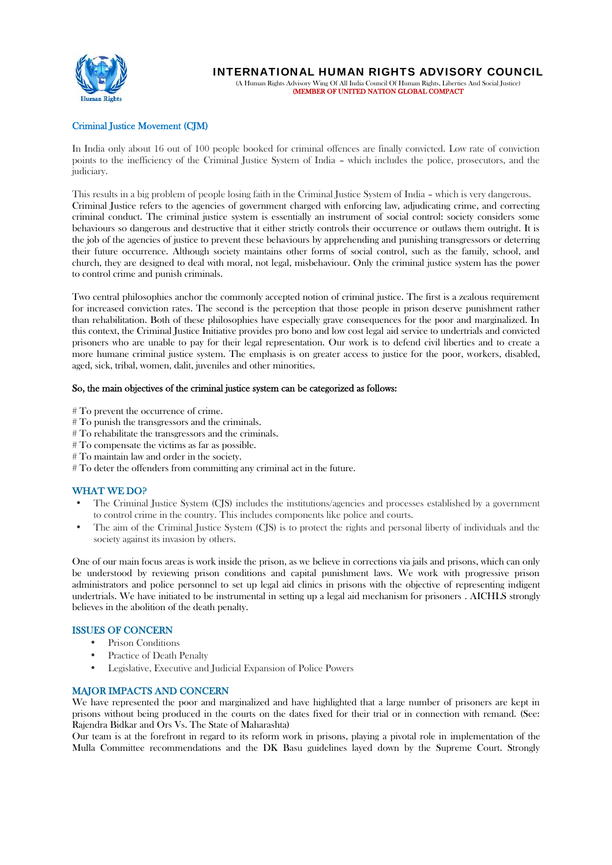

# **Criminal Justice Movement (CJM)**

In India only about 16 out of 100 people booked for criminal offences are finally convicted. Low rate of conviction points to the inefficiency of the Criminal Justice System of India – which includes the police, prosecutors, and the judiciary.

This results in a big problem of people losing faith in the Criminal Justice System of India – which is very dangerous. Criminal Justice refers to the agencies of government charged with enforcing law, adjudicating crime, and correcting criminal conduct. The criminal justice system is essentially an instrument of social control: society considers some behaviours so dangerous and destructive that it either strictly controls their occurrence or outlaws them outright. It is the job of the agencies of justice to prevent these behaviours by apprehending and punishing transgressors or deterring their future occurrence. Although society maintains other forms of social control, such as the family, school, and church, they are designed to deal with moral, not legal, misbehaviour. Only the criminal justice system has the power to control crime and punish criminals.

Two central philosophies anchor the commonly accepted notion of criminal justice. The first is a zealous requirement for increased conviction rates. The second is the perception that those people in prison deserve punishment rather than rehabilitation. Both of these philosophies have especially grave consequences for the poor and marginalized. In this context, the Criminal Justice Initiative provides pro bono and low cost legal aid service to undertrials and convicted prisoners who are unable to pay for their legal representation. Our work is to defend civil liberties and to create a more humane criminal justice system. The emphasis is on greater access to justice for the poor, workers, disabled, aged, sick, tribal, women, dalit, juveniles and other minorities.

#### **So, the main objectives of the criminal justice system can be categorized as follows:**

- # To prevent the occurrence of crime.
- # To punish the transgressors and the criminals.
- # To rehabilitate the transgressors and the criminals.
- # To compensate the victims as far as possible.
- # To maintain law and order in the society.
- # To deter the offenders from committing any criminal act in the future.

# **WHAT WE DO?**

- The Criminal Justice System (CJS) includes the institutions/agencies and processes established by a government to control crime in the country. This includes components like police and courts.
- The aim of the Criminal Justice System (CJS) is to protect the rights and personal liberty of individuals and the society against its invasion by others.

One of our main focus areas is work inside the prison, as we believe in corrections via jails and prisons, which can only be understood by reviewing prison conditions and capital punishment laws. We work with progressive prison administrators and police personnel to set up legal aid clinics in prisons with the objective of representing indigent undertrials. We have initiated to be instrumental in setting up a legal aid mechanism for prisoners . AICHLS strongly believes in the abolition of the death penalty.

# **ISSUES OF CONCERN**

- Prison Conditions
- Practice of Death Penalty
- Legislative, Executive and Judicial Expansion of Police Powers

# **MAJOR IMPACTS AND CONCERN**

We have represented the poor and marginalized and have highlighted that a large number of prisoners are kept in prisons without being produced in the courts on the dates fixed for their trial or in connection with remand. (See: Rajendra Bidkar and Ors Vs. The State of Maharashta)

Our team is at the forefront in regard to its reform work in prisons, playing a pivotal role in implementation of the Mulla Committee recommendations and the DK Basu guidelines layed down by the Supreme Court. Strongly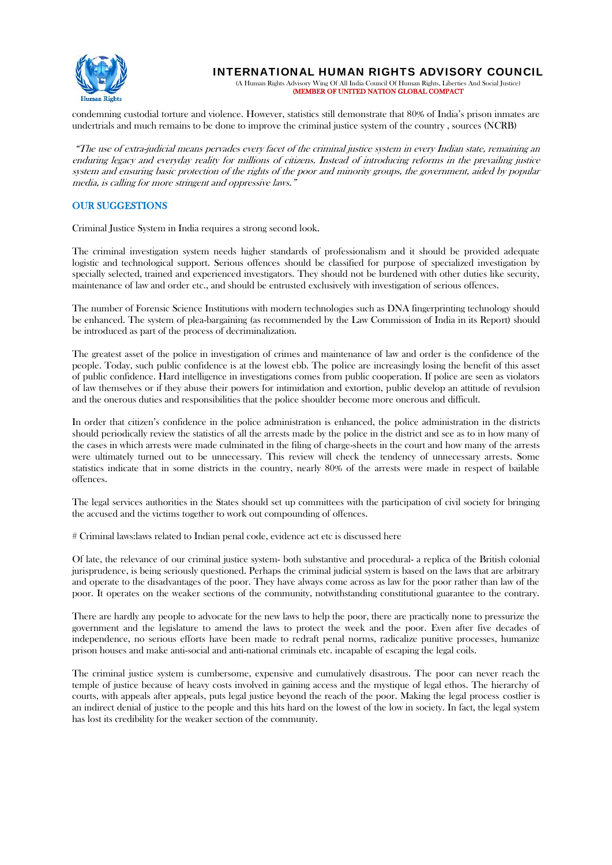

**INTERNATIONAL HUMAN RIGHTS ADVISORY COUNCIL**

(A Human Rights Advisory Wing Of All India Council Of Human Rights, Liberties And Social Justice) **(MEMBER OF UNITED NATION GLOBAL COMPACT**

condemning custodial torture and violence. However, statistics still demonstrate that 80% of India's prison inmates are undertrials and much remains to be done to improve the criminal justice system of the country , sources (NCRB)

*"The use of extra-judicial means pervades every facet of the criminal justice system in every Indian state, remaining an enduring legacy and everyday reality for millions of citizens. Instead of introducing reforms in the prevailing justice system and ensuring basic protection of the rights of the poor and minority groups, the government, aided by popular media, is calling for more stringent and oppressive laws."*

# **OUR SUGGESTIONS**

Criminal Justice System in India requires a strong second look.

The criminal investigation system needs higher standards of professionalism and it should be provided adequate logistic and technological support. Serious offences should be classified for purpose of specialized investigation by specially selected, trained and experienced investigators. They should not be burdened with other duties like security, maintenance of law and order etc., and should be entrusted exclusively with investigation of serious offences.

The number of Forensic Science Institutions with modern technologies such as DNA fingerprinting technology should be enhanced. The system of plea-bargaining (as recommended by the Law Commission of India in its Report) should be introduced as part of the process of decriminalization.

The greatest asset of the police in investigation of crimes and maintenance of law and order is the confidence of the people. Today, such public confidence is at the lowest ebb. The police are increasingly losing the benefit of this asset of public confidence. Hard intelligence in investigations comes from public cooperation. If police are seen as violators of law themselves or if they abuse their powers for intimidation and extortion, public develop an attitude of revulsion and the onerous duties and responsibilities that the police shoulder become more onerous and difficult.

In order that citizen's confidence in the police administration is enhanced, the police administration in the districts should periodically review the statistics of all the arrests made by the police in the district and see as to in how many of the cases in which arrests were made culminated in the filing of charge-sheets in the court and how many of the arrests were ultimately turned out to be unnecessary. This review will check the tendency of unnecessary arrests. Some statistics indicate that in some districts in the country, nearly 80% of the arrests were made in respect of bailable offences.

The legal services authorities in the States should set up committees with the participation of civil society for bringing the accused and the victims together to work out compounding of offences.

# Criminal laws:laws related to Indian penal code, evidence act etc is discussed here

Of late, the relevance of our criminal justice system- both substantive and procedural- a replica of the British colonial jurisprudence, is being seriously questioned. Perhaps the criminal judicial system is based on the laws that are arbitrary and operate to the disadvantages of the poor. They have always come across as law for the poor rather than law of the poor. It operates on the weaker sections of the community, notwithstanding constitutional guarantee to the contrary.

There are hardly any people to advocate for the new laws to help the poor, there are practically none to pressurize the government and the legislature to amend the laws to protect the week and the poor. Even after five decades of independence, no serious efforts have been made to redraft penal norms, radicalize punitive processes, humanize prison houses and make anti-social and anti-national criminals etc. incapable of escaping the legal coils.

The criminal justice system is cumbersome, expensive and cumulatively disastrous. The poor can never reach the temple of justice because of heavy costs involved in gaining access and the mystique of legal ethos. The hierarchy of courts, with appeals after appeals, puts legal justice beyond the reach of the poor. Making the legal process costlier is an indirect denial of justice to the people and this hits hard on the lowest of the low in society. In fact, the legal system has lost its credibility for the weaker section of the community.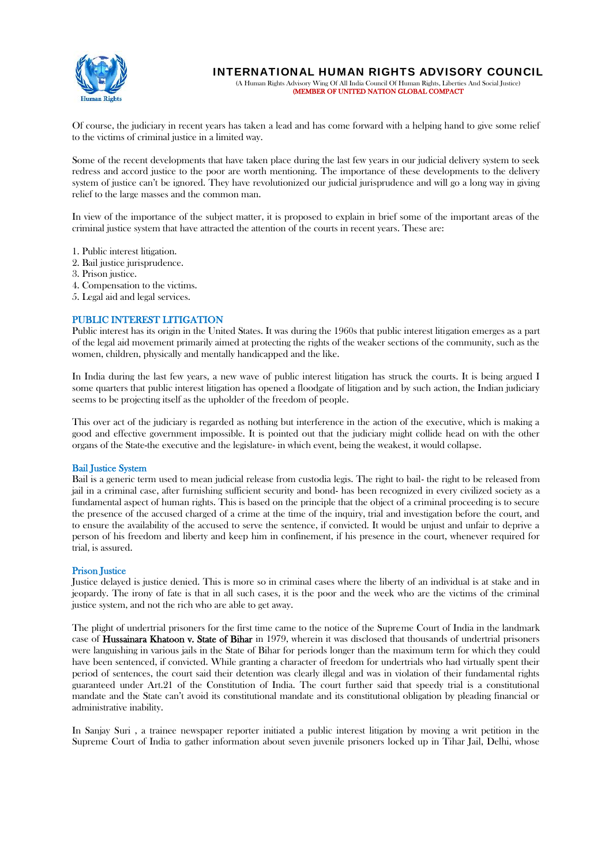

**INTERNATIONAL HUMAN RIGHTS ADVISORY COUNCIL** (A Human Rights Advisory Wing Of All India Council Of Human Rights, Liberties And Social Justice)

**(MEMBER OF UNITED NATION GLOBAL COMPACT**

Of course, the judiciary in recent years has taken a lead and has come forward with a helping hand to give some relief to the victims of criminal justice in a limited way.

Some of the recent developments that have taken place during the last few years in our judicial delivery system to seek redress and accord justice to the poor are worth mentioning. The importance of these developments to the delivery system of justice can't be ignored. They have revolutionized our judicial jurisprudence and will go a long way in giving relief to the large masses and the common man.

In view of the importance of the subject matter, it is proposed to explain in brief some of the important areas of the criminal justice system that have attracted the attention of the courts in recent years. These are:

- 1. Public interest litigation.
- 2. Bail justice jurisprudence.
- 3. Prison justice.
- 4. Compensation to the victims.
- 5. Legal aid and legal services.

# **PUBLIC INTEREST LITIGATION**

Public interest has its origin in the United States. It was during the 1960s that public interest litigation emerges as a part of the legal aid movement primarily aimed at protecting the rights of the weaker sections of the community, such as the women, children, physically and mentally handicapped and the like.

In India during the last few years, a new wave of public interest litigation has struck the courts. It is being argued I some quarters that public interest litigation has opened a floodgate of litigation and by such action, the Indian judiciary seems to be projecting itself as the upholder of the freedom of people.

This over act of the judiciary is regarded as nothing but interference in the action of the executive, which is making a good and effective government impossible. It is pointed out that the judiciary might collide head on with the other organs of the State-the executive and the legislature- in which event, being the weakest, it would collapse.

#### **Bail Justice System**

Bail is a generic term used to mean judicial release from custodia legis. The right to bail- the right to be released from jail in a criminal case, after furnishing sufficient security and bond- has been recognized in every civilized society as a fundamental aspect of human rights. This is based on the principle that the object of a criminal proceeding is to secure the presence of the accused charged of a crime at the time of the inquiry, trial and investigation before the court, and to ensure the availability of the accused to serve the sentence, if convicted. It would be unjust and unfair to deprive a person of his freedom and liberty and keep him in confinement, if his presence in the court, whenever required for trial, is assured.

#### **Prison Justice**

Justice delayed is justice denied. This is more so in criminal cases where the liberty of an individual is at stake and in jeopardy. The irony of fate is that in all such cases, it is the poor and the week who are the victims of the criminal justice system, and not the rich who are able to get away.

The plight of undertrial prisoners for the first time came to the notice of the Supreme Court of India in the landmark case of **Hussainara Khatoon v. State of Bihar** in 1979, wherein it was disclosed that thousands of undertrial prisoners were languishing in various jails in the State of Bihar for periods longer than the maximum term for which they could have been sentenced, if convicted. While granting a character of freedom for undertrials who had virtually spent their period of sentences, the court said their detention was clearly illegal and was in violation of their fundamental rights guaranteed under Art.21 of the Constitution of India. The court further said that speedy trial is a constitutional mandate and the State can't avoid its constitutional mandate and its constitutional obligation by pleading financial or administrative inability.

In Sanjay Suri , a trainee newspaper reporter initiated a public interest litigation by moving a writ petition in the Supreme Court of India to gather information about seven juvenile prisoners locked up in Tihar Jail, Delhi, whose